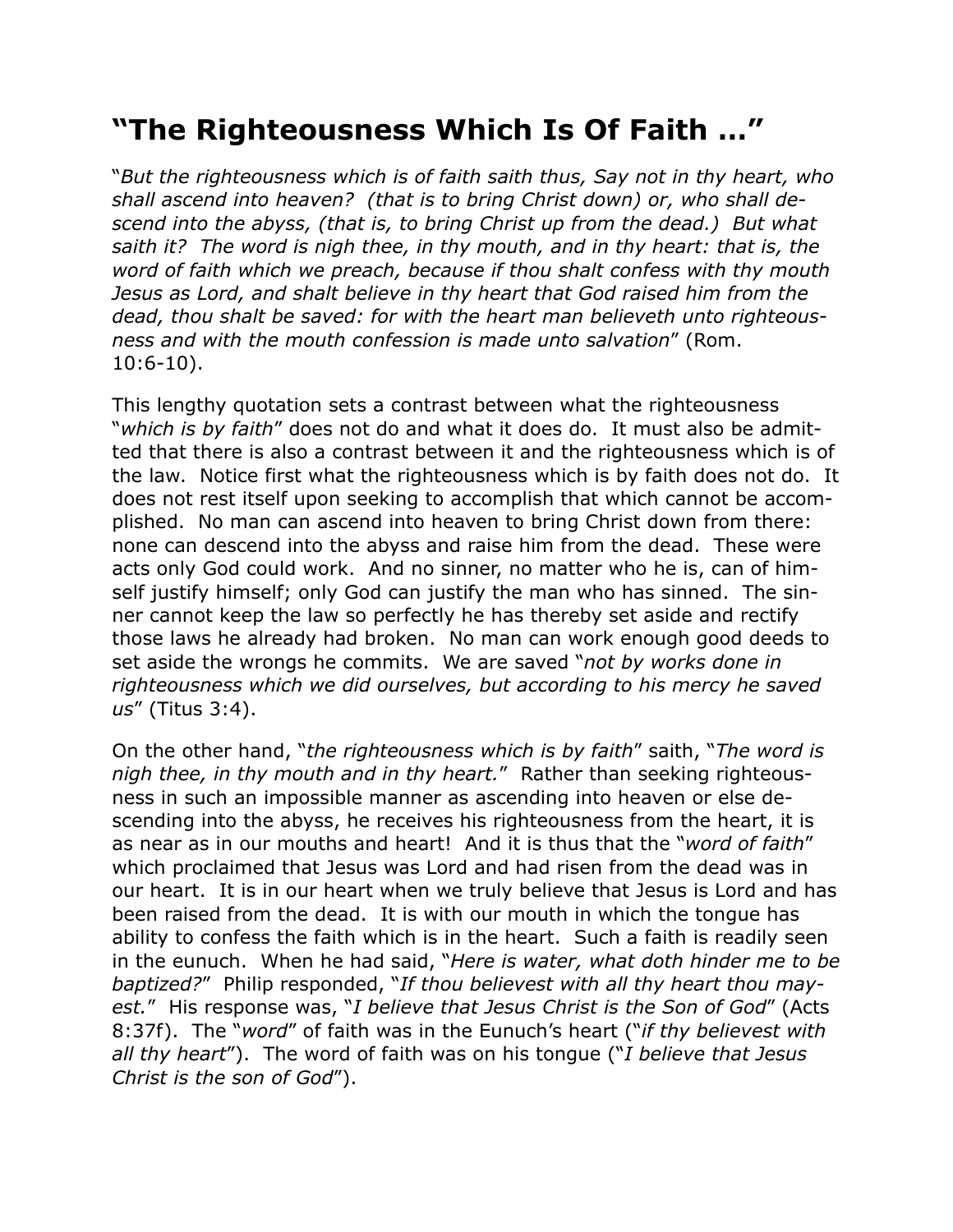## **"The Righteousness Which Is Of Faith …"**

"*But the righteousness which is of faith saith thus, Say not in thy heart, who shall ascend into heaven? (that is to bring Christ down) or, who shall descend into the abyss, (that is, to bring Christ up from the dead.) But what saith it? The word is nigh thee, in thy mouth, and in thy heart: that is, the word of faith which we preach, because if thou shalt confess with thy mouth Jesus as Lord, and shalt believe in thy heart that God raised him from the dead, thou shalt be saved: for with the heart man believeth unto righteousness and with the mouth confession is made unto salvation*" (Rom. 10:6-10).

This lengthy quotation sets a contrast between what the righteousness "*which is by faith*" does not do and what it does do. It must also be admitted that there is also a contrast between it and the righteousness which is of the law. Notice first what the righteousness which is by faith does not do. It does not rest itself upon seeking to accomplish that which cannot be accomplished. No man can ascend into heaven to bring Christ down from there: none can descend into the abyss and raise him from the dead. These were acts only God could work. And no sinner, no matter who he is, can of himself justify himself; only God can justify the man who has sinned. The sinner cannot keep the law so perfectly he has thereby set aside and rectify those laws he already had broken. No man can work enough good deeds to set aside the wrongs he commits. We are saved "*not by works done in righteousness which we did ourselves, but according to his mercy he saved us*" (Titus 3:4).

On the other hand, "*the righteousness which is by faith*" saith, "*The word is nigh thee, in thy mouth and in thy heart.*" Rather than seeking righteousness in such an impossible manner as ascending into heaven or else descending into the abyss, he receives his righteousness from the heart, it is as near as in our mouths and heart! And it is thus that the "*word of faith*" which proclaimed that Jesus was Lord and had risen from the dead was in our heart. It is in our heart when we truly believe that Jesus is Lord and has been raised from the dead. It is with our mouth in which the tongue has ability to confess the faith which is in the heart. Such a faith is readily seen in the eunuch. When he had said, "*Here is water, what doth hinder me to be baptized?*" Philip responded, "*If thou believest with all thy heart thou mayest.*" His response was, "*I believe that Jesus Christ is the Son of God*" (Acts 8:37f). The "*word*" of faith was in the Eunuch's heart ("*if thy believest with all thy heart*"). The word of faith was on his tongue ("*I believe that Jesus Christ is the son of God*").